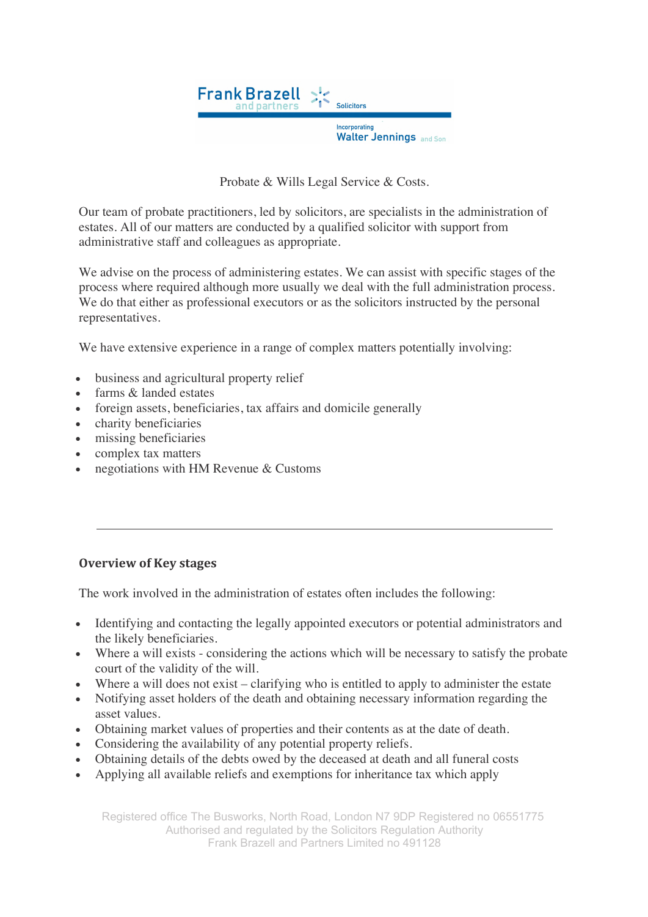

Probate & Wills Legal Service & Costs.

Our team of probate practitioners, led by solicitors, are specialists in the administration of estates. All of our matters are conducted by a qualified solicitor with support from administrative staff and colleagues as appropriate.

We advise on the process of administering estates. We can assist with specific stages of the process where required although more usually we deal with the full administration process. We do that either as professional executors or as the solicitors instructed by the personal representatives.

We have extensive experience in a range of complex matters potentially involving:

- business and agricultural property relief
- farms & landed estates
- foreign assets, beneficiaries, tax affairs and domicile generally
- charity beneficiaries
- missing beneficiaries
- complex tax matters
- negotiations with HM Revenue & Customs

#### **Overview of Key stages**

The work involved in the administration of estates often includes the following:

- Identifying and contacting the legally appointed executors or potential administrators and the likely beneficiaries.
- Where a will exists considering the actions which will be necessary to satisfy the probate court of the validity of the will.
- Where a will does not exist clarifying who is entitled to apply to administer the estate
- Notifying asset holders of the death and obtaining necessary information regarding the asset values.
- Obtaining market values of properties and their contents as at the date of death.
- Considering the availability of any potential property reliefs.
- Obtaining details of the debts owed by the deceased at death and all funeral costs
- Applying all available reliefs and exemptions for inheritance tax which apply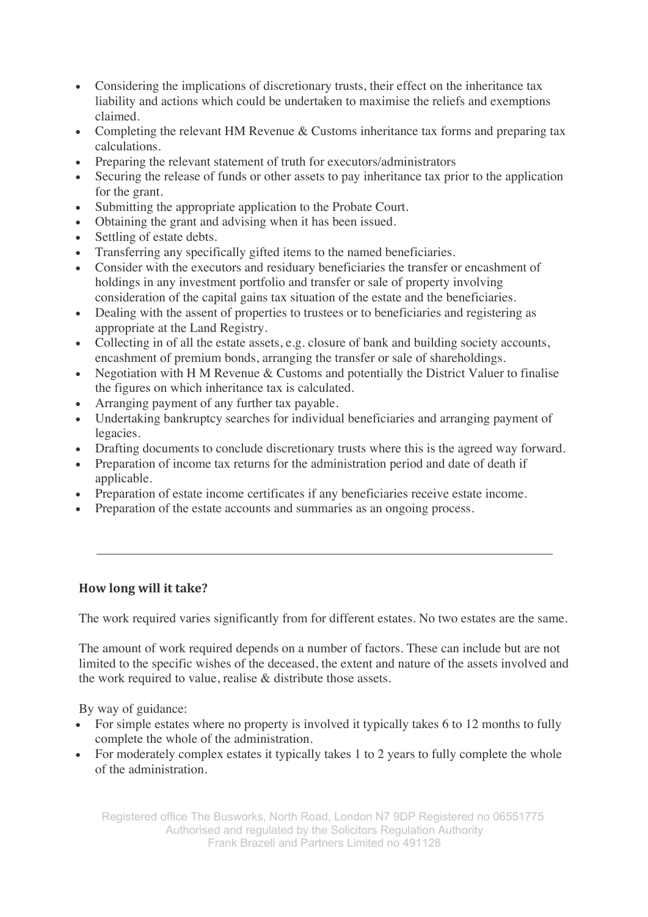- Considering the implications of discretionary trusts, their effect on the inheritance tax liability and actions which could be undertaken to maximise the reliefs and exemptions claimed.
- Completing the relevant HM Revenue & Customs inheritance tax forms and preparing tax calculations.
- Preparing the relevant statement of truth for executors/administrators
- Securing the release of funds or other assets to pay inheritance tax prior to the application for the grant.
- Submitting the appropriate application to the Probate Court.
- Obtaining the grant and advising when it has been issued.
- Settling of estate debts.
- Transferring any specifically gifted items to the named beneficiaries.
- Consider with the executors and residuary beneficiaries the transfer or encashment of holdings in any investment portfolio and transfer or sale of property involving consideration of the capital gains tax situation of the estate and the beneficiaries.
- Dealing with the assent of properties to trustees or to beneficiaries and registering as appropriate at the Land Registry.
- Collecting in of all the estate assets, e.g. closure of bank and building society accounts, encashment of premium bonds, arranging the transfer or sale of shareholdings.
- Negotiation with H M Revenue & Customs and potentially the District Valuer to finalise the figures on which inheritance tax is calculated.
- Arranging payment of any further tax payable.
- Undertaking bankruptcy searches for individual beneficiaries and arranging payment of legacies.
- Drafting documents to conclude discretionary trusts where this is the agreed way forward.
- Preparation of income tax returns for the administration period and date of death if applicable.
- Preparation of estate income certificates if any beneficiaries receive estate income.
- Preparation of the estate accounts and summaries as an ongoing process.

### **How long will it take?**

The work required varies significantly from for different estates. No two estates are the same.

The amount of work required depends on a number of factors. These can include but are not limited to the specific wishes of the deceased, the extent and nature of the assets involved and the work required to value, realise & distribute those assets.

By way of guidance:

- For simple estates where no property is involved it typically takes 6 to 12 months to fully complete the whole of the administration.
- For moderately complex estates it typically takes 1 to 2 years to fully complete the whole of the administration.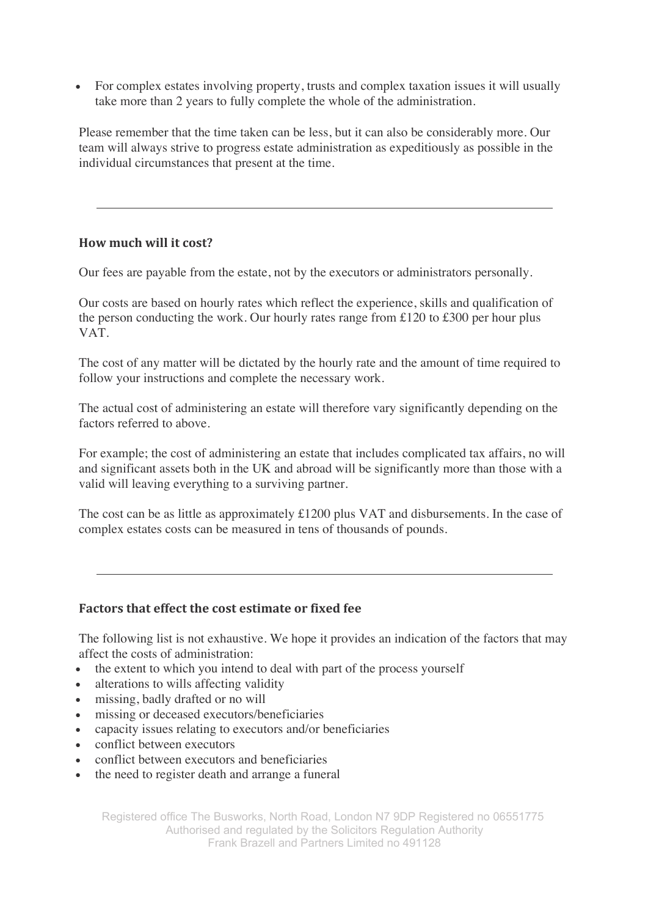• For complex estates involving property, trusts and complex taxation issues it will usually take more than 2 years to fully complete the whole of the administration.

Please remember that the time taken can be less, but it can also be considerably more. Our team will always strive to progress estate administration as expeditiously as possible in the individual circumstances that present at the time.

### **How much will it cost?**

Our fees are payable from the estate, not by the executors or administrators personally.

Our costs are based on hourly rates which reflect the experience, skills and qualification of the person conducting the work. Our hourly rates range from £120 to £300 per hour plus VAT.

The cost of any matter will be dictated by the hourly rate and the amount of time required to follow your instructions and complete the necessary work.

The actual cost of administering an estate will therefore vary significantly depending on the factors referred to above.

For example; the cost of administering an estate that includes complicated tax affairs, no will and significant assets both in the UK and abroad will be significantly more than those with a valid will leaving everything to a surviving partner.

The cost can be as little as approximately £1200 plus VAT and disbursements. In the case of complex estates costs can be measured in tens of thousands of pounds.

### **Factors that effect the cost estimate or fixed fee**

The following list is not exhaustive. We hope it provides an indication of the factors that may affect the costs of administration:

- the extent to which you intend to deal with part of the process yourself
- alterations to wills affecting validity
- missing, badly drafted or no will
- missing or deceased executors/beneficiaries
- capacity issues relating to executors and/or beneficiaries
- conflict between executors
- conflict between executors and beneficiaries
- the need to register death and arrange a funeral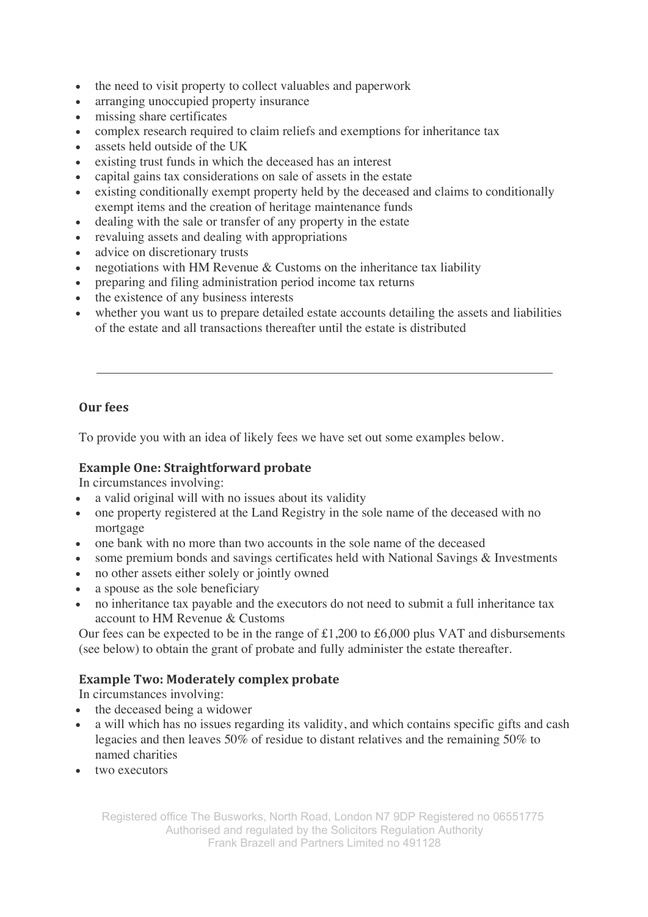- the need to visit property to collect valuables and paperwork
- arranging unoccupied property insurance
- missing share certificates
- complex research required to claim reliefs and exemptions for inheritance tax
- assets held outside of the UK
- existing trust funds in which the deceased has an interest
- capital gains tax considerations on sale of assets in the estate
- existing conditionally exempt property held by the deceased and claims to conditionally exempt items and the creation of heritage maintenance funds
- dealing with the sale or transfer of any property in the estate
- revaluing assets and dealing with appropriations
- advice on discretionary trusts
- negotiations with HM Revenue  $&$  Customs on the inheritance tax liability
- preparing and filing administration period income tax returns
- the existence of any business interests
- whether you want us to prepare detailed estate accounts detailing the assets and liabilities of the estate and all transactions thereafter until the estate is distributed

### **Our fees**

To provide you with an idea of likely fees we have set out some examples below.

### **Example One: Straightforward probate**

In circumstances involving:

- a valid original will with no issues about its validity
- one property registered at the Land Registry in the sole name of the deceased with no mortgage
- one bank with no more than two accounts in the sole name of the deceased
- some premium bonds and savings certificates held with National Savings & Investments
- no other assets either solely or jointly owned
- a spouse as the sole beneficiary
- no inheritance tax payable and the executors do not need to submit a full inheritance tax account to HM Revenue & Customs

Our fees can be expected to be in the range of £1,200 to £6,000 plus VAT and disbursements (see below) to obtain the grant of probate and fully administer the estate thereafter.

### **Example Two: Moderately complex probate**

In circumstances involving:

- the deceased being a widower
- a will which has no issues regarding its validity, and which contains specific gifts and cash legacies and then leaves 50% of residue to distant relatives and the remaining 50% to named charities
- two executors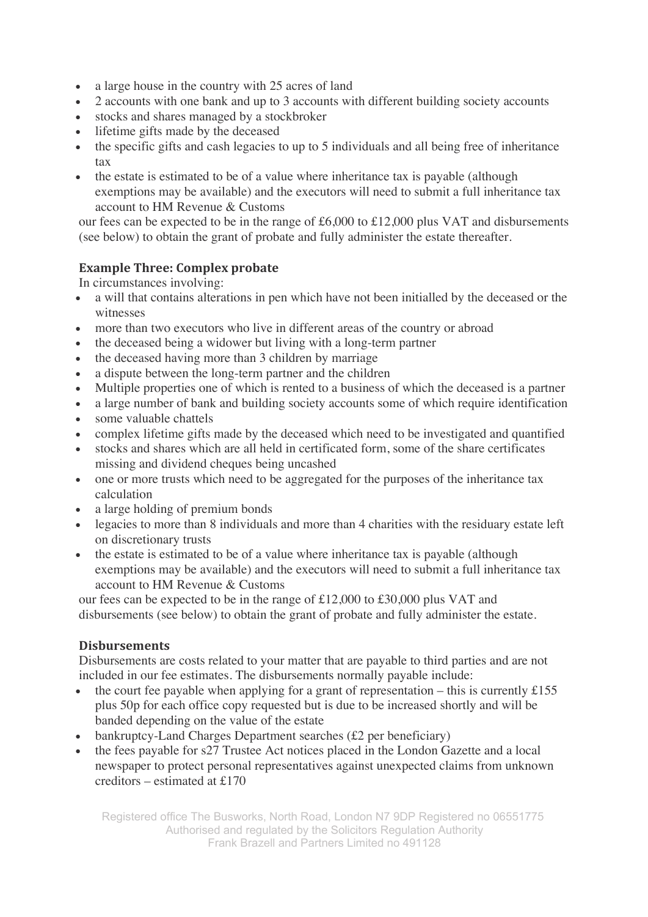- a large house in the country with 25 acres of land
- 2 accounts with one bank and up to 3 accounts with different building society accounts
- stocks and shares managed by a stockbroker
- lifetime gifts made by the deceased
- the specific gifts and cash legacies to up to 5 individuals and all being free of inheritance tax
- the estate is estimated to be of a value where inheritance tax is payable (although exemptions may be available) and the executors will need to submit a full inheritance tax account to HM Revenue & Customs

our fees can be expected to be in the range of £6,000 to £12,000 plus VAT and disbursements (see below) to obtain the grant of probate and fully administer the estate thereafter.

# **Example Three: Complex probate**

In circumstances involving:

- a will that contains alterations in pen which have not been initialled by the deceased or the witnesses
- more than two executors who live in different areas of the country or abroad
- the deceased being a widower but living with a long-term partner
- the deceased having more than 3 children by marriage
- a dispute between the long-term partner and the children
- Multiple properties one of which is rented to a business of which the deceased is a partner
- a large number of bank and building society accounts some of which require identification
- some valuable chattels
- complex lifetime gifts made by the deceased which need to be investigated and quantified
- stocks and shares which are all held in certificated form, some of the share certificates missing and dividend cheques being uncashed
- one or more trusts which need to be aggregated for the purposes of the inheritance tax calculation
- a large holding of premium bonds
- legacies to more than 8 individuals and more than 4 charities with the residuary estate left on discretionary trusts
- the estate is estimated to be of a value where inheritance tax is payable (although exemptions may be available) and the executors will need to submit a full inheritance tax account to HM Revenue & Customs

our fees can be expected to be in the range of £12,000 to £30,000 plus VAT and disbursements (see below) to obtain the grant of probate and fully administer the estate.

# **Disbursements**

Disbursements are costs related to your matter that are payable to third parties and are not included in our fee estimates. The disbursements normally payable include:

- the court fee payable when applying for a grant of representation this is currently  $£155$ plus 50p for each office copy requested but is due to be increased shortly and will be banded depending on the value of the estate
- bankruptcy-Land Charges Department searches (£2 per beneficiary)
- the fees payable for s27 Trustee Act notices placed in the London Gazette and a local newspaper to protect personal representatives against unexpected claims from unknown creditors – estimated at £170